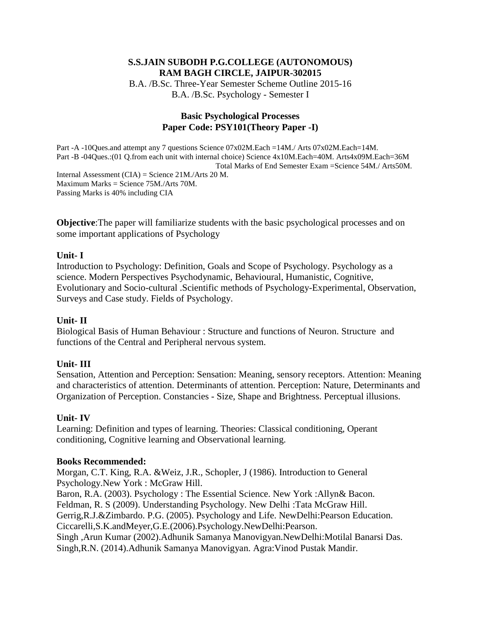## **S.S.JAIN SUBODH P.G.COLLEGE (AUTONOMOUS) RAM BAGH CIRCLE, JAIPUR-302015** B.A. /B.Sc. Three-Year Semester Scheme Outline 2015-16

B.A. /B.Sc. Psychology - Semester I

## **Basic Psychological Processes Paper Code: PSY101(Theory Paper -I)**

Part -A -10Ques.and attempt any 7 questions Science  $07x02M$ .Each =14M./ Arts  $07x02M$ .Each=14M. Part -B -04Ques.:(01 Q.from each unit with internal choice) Science 4x10M.Each=40M. Arts4x09M.Each=36M Total Marks of End Semester Exam =Science 54M./ Arts50M. Internal Assessment (CIA) = Science 21M./Arts 20 M. Maximum Marks = Science 75M./Arts 70M. Passing Marks is 40% including CIA

**Objective:** The paper will familiarize students with the basic psychological processes and on some important applications of Psychology

#### **Unit- I**

Introduction to Psychology: Definition, Goals and Scope of Psychology. Psychology as a science. Modern Perspectives Psychodynamic, Behavioural, Humanistic, Cognitive, Evolutionary and Socio-cultural .Scientific methods of Psychology-Experimental, Observation, Surveys and Case study. Fields of Psychology.

## **Unit- II**

Biological Basis of Human Behaviour : Structure and functions of Neuron. Structure and functions of the Central and Peripheral nervous system.

## **Unit- III**

Sensation, Attention and Perception: Sensation: Meaning, sensory receptors. Attention: Meaning and characteristics of attention. Determinants of attention. Perception: Nature, Determinants and Organization of Perception. Constancies - Size, Shape and Brightness. Perceptual illusions.

## **Unit- IV**

Learning: Definition and types of learning. Theories: Classical conditioning, Operant conditioning, Cognitive learning and Observational learning.

#### **Books Recommended:**

Morgan, C.T. King, R.A. &Weiz, J.R., Schopler, J (1986). Introduction to General Psychology.New York : McGraw Hill.

Baron, R.A. (2003). Psychology : The Essential Science. New York :Allyn& Bacon. Feldman, R. S (2009). Understanding Psychology. New Delhi :Tata McGraw Hill. Gerrig,R.J.&Zimbardo. P.G. (2005). Psychology and Life. NewDelhi:Pearson Education. Ciccarelli,S.K.andMeyer,G.E.(2006).Psychology.NewDelhi:Pearson. Singh ,Arun Kumar (2002).Adhunik Samanya Manovigyan.NewDelhi:Motilal Banarsi Das. Singh,R.N. (2014).Adhunik Samanya Manovigyan. Agra:Vinod Pustak Mandir.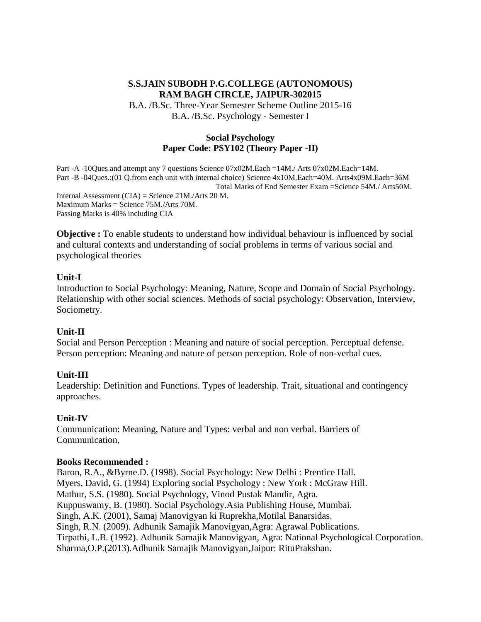B.A. /B.Sc. Three-Year Semester Scheme Outline 2015-16 B.A. /B.Sc. Psychology - Semester I

#### **Social Psychology Paper Code: PSY102 (Theory Paper -II)**

Part -A -10Ques.and attempt any 7 questions Science 07x02M.Each =14M./ Arts 07x02M.Each=14M. Part -B -04Ques.:(01 Q.from each unit with internal choice) Science 4x10M.Each=40M. Arts4x09M.Each=36M Total Marks of End Semester Exam =Science 54M./ Arts50M. Internal Assessment (CIA) = Science 21M./Arts 20 M. Maximum Marks = Science 75M./Arts 70M. Passing Marks is 40% including CIA

**Objective :** To enable students to understand how individual behaviour is influenced by social and cultural contexts and understanding of social problems in terms of various social and psychological theories

#### **Unit-I**

Introduction to Social Psychology: Meaning, Nature, Scope and Domain of Social Psychology. Relationship with other social sciences. Methods of social psychology: Observation, Interview, Sociometry.

#### **Unit-II**

Social and Person Perception : Meaning and nature of social perception. Perceptual defense. Person perception: Meaning and nature of person perception. Role of non-verbal cues.

#### **Unit-III**

Leadership: Definition and Functions. Types of leadership. Trait, situational and contingency approaches.

#### **Unit-IV**

Communication: Meaning, Nature and Types: verbal and non verbal. Barriers of Communication,

#### **Books Recommended :**

Baron, R.A., &Byrne.D. (1998). Social Psychology: New Delhi : Prentice Hall. Myers, David, G. (1994) Exploring social Psychology : New York : McGraw Hill. Mathur, S.S. (1980). Social Psychology, Vinod Pustak Mandir, Agra. Kuppuswamy, B. (1980). Social Psychology.Asia Publishing House, Mumbai. Singh, A.K. (2001), Samaj Manovigyan ki Ruprekha,Motilal Banarsidas. Singh, R.N. (2009). Adhunik Samajik Manovigyan,Agra: Agrawal Publications. Tirpathi, L.B. (1992). Adhunik Samajik Manovigyan, Agra: National Psychological Corporation. Sharma,O.P.(2013).Adhunik Samajik Manovigyan,Jaipur: RituPrakshan.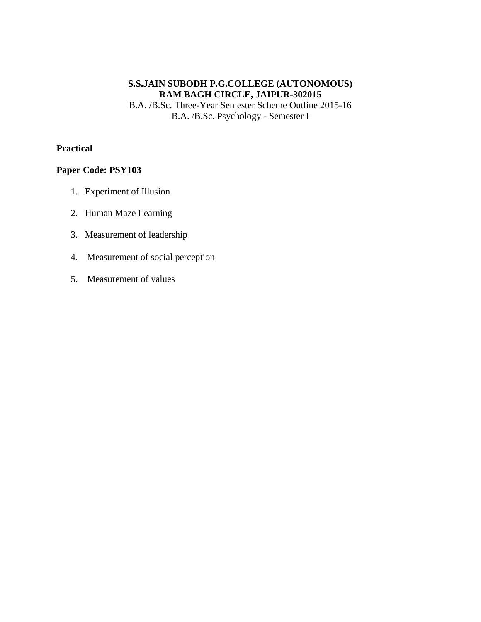B.A. /B.Sc. Three-Year Semester Scheme Outline 2015-16 B.A. /B.Sc. Psychology - Semester I

## **Practical**

- 1. Experiment of Illusion
- 2. Human Maze Learning
- 3. Measurement of leadership
- 4. Measurement of social perception
- 5. Measurement of values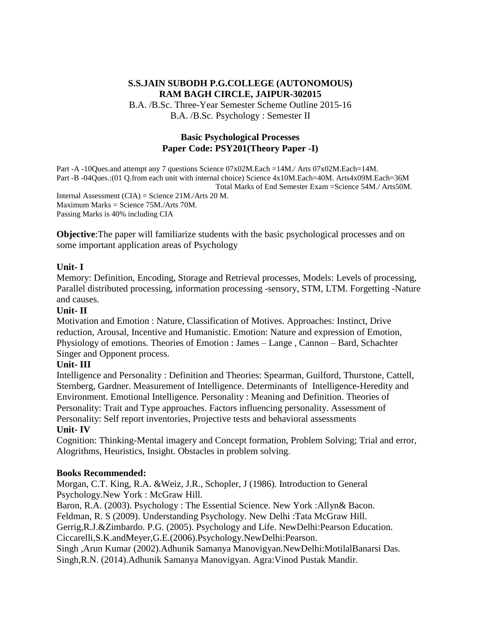B.A. /B.Sc. Three-Year Semester Scheme Outline 2015-16 B.A. /B.Sc. Psychology : Semester II

#### **Basic Psychological Processes Paper Code: PSY201(Theory Paper -I)**

Part -A -10Ques.and attempt any 7 questions Science 07x02M.Each =14M./ Arts 07x02M.Each=14M. Part -B -04Ques.:(01 Q.from each unit with internal choice) Science 4x10M.Each=40M. Arts4x09M.Each=36M Total Marks of End Semester Exam =Science 54M./ Arts50M. Internal Assessment (CIA) = Science 21M./Arts 20 M. Maximum Marks = Science 75M./Arts 70M. Passing Marks is 40% including CIA

**Objective:** The paper will familiarize students with the basic psychological processes and on some important application areas of Psychology

#### **Unit- I**

Memory: Definition, Encoding, Storage and Retrieval processes, Models: Levels of processing, Parallel distributed processing, information processing -sensory, STM, LTM. Forgetting -Nature and causes.

## **Unit- II**

Motivation and Emotion : Nature, Classification of Motives. Approaches: Instinct, Drive reduction, Arousal, Incentive and Humanistic. Emotion: Nature and expression of Emotion, Physiology of emotions. Theories of Emotion : James – Lange , Cannon – Bard, Schachter Singer and Opponent process.

## **Unit- III**

Intelligence and Personality : Definition and Theories: Spearman, Guilford, Thurstone, Cattell, Sternberg, Gardner. Measurement of Intelligence. Determinants of Intelligence-Heredity and Environment. Emotional Intelligence. Personality : Meaning and Definition. Theories of Personality: Trait and Type approaches. Factors influencing personality. Assessment of Personality: Self report inventories, Projective tests and behavioral assessments **Unit- IV** 

Cognition: Thinking-Mental imagery and Concept formation, Problem Solving; Trial and error, Alogrithms, Heuristics, Insight. Obstacles in problem solving.

## **Books Recommended:**

Morgan, C.T. King, R.A. &Weiz, J.R., Schopler, J (1986). Introduction to General Psychology.New York : McGraw Hill.

Baron, R.A. (2003). Psychology : The Essential Science. New York :Allyn& Bacon. Feldman, R. S (2009). Understanding Psychology. New Delhi :Tata McGraw Hill. Gerrig,R.J.&Zimbardo. P.G. (2005). Psychology and Life. NewDelhi:Pearson Education. Ciccarelli,S.K.andMeyer,G.E.(2006).Psychology.NewDelhi:Pearson. Singh ,Arun Kumar (2002).Adhunik Samanya Manovigyan.NewDelhi:MotilalBanarsi Das. Singh,R.N. (2014).Adhunik Samanya Manovigyan. Agra:Vinod Pustak Mandir.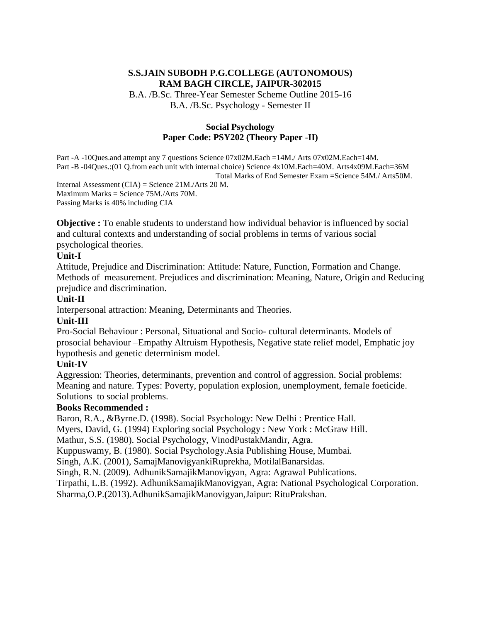B.A. /B.Sc. Three-Year Semester Scheme Outline 2015-16 B.A. /B.Sc. Psychology - Semester II

#### **Social Psychology Paper Code: PSY202 (Theory Paper -II)**

Part -A -10Ques.and attempt any 7 questions Science 07x02M.Each =14M./ Arts 07x02M.Each=14M. Part -B -04Ques.:(01 Q.from each unit with internal choice) Science 4x10M.Each=40M. Arts4x09M.Each=36M Total Marks of End Semester Exam =Science 54M./ Arts50M. Internal Assessment (CIA) = Science  $21M$ ./Arts 20 M. Maximum Marks = Science 75M./Arts 70M.

Passing Marks is 40% including CIA

**Objective :** To enable students to understand how individual behavior is influenced by social and cultural contexts and understanding of social problems in terms of various social psychological theories.

#### **Unit-I**

Attitude, Prejudice and Discrimination: Attitude: Nature, Function, Formation and Change. Methods of measurement. Prejudices and discrimination: Meaning, Nature, Origin and Reducing prejudice and discrimination.

#### **Unit-II**

Interpersonal attraction: Meaning, Determinants and Theories.

#### **Unit-III**

Pro-Social Behaviour : Personal, Situational and Socio- cultural determinants. Models of prosocial behaviour –Empathy Altruism Hypothesis, Negative state relief model, Emphatic joy hypothesis and genetic determinism model.

#### **Unit-IV**

Aggression: Theories, determinants, prevention and control of aggression. Social problems: Meaning and nature. Types: Poverty, population explosion, unemployment, female foeticide. Solutions to social problems.

#### **Books Recommended :**

Baron, R.A., &Byrne.D. (1998). Social Psychology: New Delhi : Prentice Hall.

Myers, David, G. (1994) Exploring social Psychology : New York : McGraw Hill.

Mathur, S.S. (1980). Social Psychology, VinodPustakMandir, Agra.

Kuppuswamy, B. (1980). Social Psychology.Asia Publishing House, Mumbai.

Singh, A.K. (2001), SamajManovigyankiRuprekha, MotilalBanarsidas.

Singh, R.N. (2009). AdhunikSamajikManovigyan, Agra: Agrawal Publications.

Tirpathi, L.B. (1992). AdhunikSamajikManovigyan, Agra: National Psychological Corporation.

Sharma,O.P.(2013).AdhunikSamajikManovigyan,Jaipur: RituPrakshan.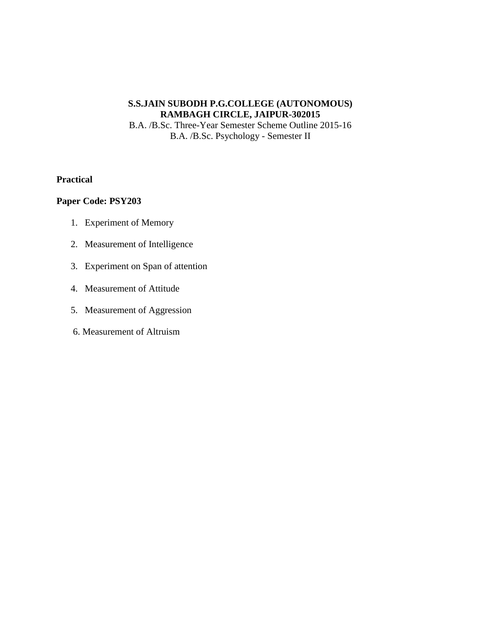B.A. /B.Sc. Three-Year Semester Scheme Outline 2015-16 B.A. /B.Sc. Psychology - Semester II

#### **Practical**

- 1. Experiment of Memory
- 2. Measurement of Intelligence
- 3. Experiment on Span of attention
- 4. Measurement of Attitude
- 5. Measurement of Aggression
- 6. Measurement of Altruism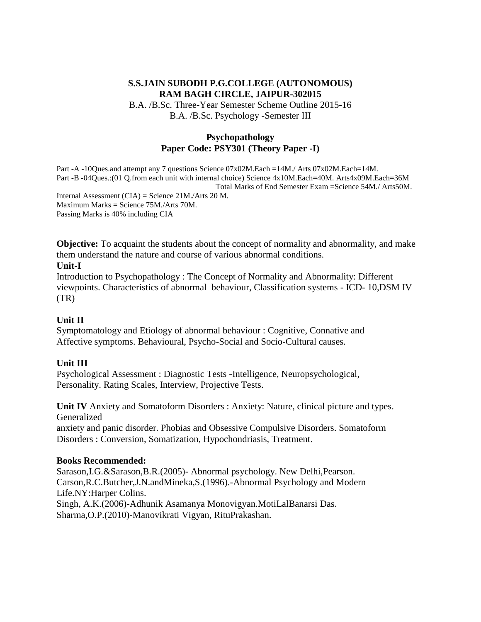B.A. /B.Sc. Three-Year Semester Scheme Outline 2015-16 B.A. /B.Sc. Psychology -Semester III

#### **Psychopathology Paper Code: PSY301 (Theory Paper -I)**

Part -A -10Ques.and attempt any 7 questions Science 07x02M.Each =14M./ Arts 07x02M.Each=14M. Part -B -04Ques.:(01 Q.from each unit with internal choice) Science 4x10M.Each=40M. Arts4x09M.Each=36M Total Marks of End Semester Exam =Science 54M./ Arts50M. Internal Assessment (CIA) = Science 21M./Arts 20 M. Maximum Marks = Science 75M./Arts 70M. Passing Marks is 40% including CIA

**Objective:** To acquaint the students about the concept of normality and abnormality, and make them understand the nature and course of various abnormal conditions.

#### **Unit-I**

Introduction to Psychopathology : The Concept of Normality and Abnormality: Different viewpoints. Characteristics of abnormal behaviour, Classification systems - ICD- 10,DSM IV (TR)

## **Unit II**

Symptomatology and Etiology of abnormal behaviour : Cognitive, Connative and Affective symptoms. Behavioural, Psycho-Social and Socio-Cultural causes.

## **Unit III**

Psychological Assessment : Diagnostic Tests -Intelligence, Neuropsychological, Personality. Rating Scales, Interview, Projective Tests.

**Unit IV** Anxiety and Somatoform Disorders : Anxiety: Nature, clinical picture and types. Generalized

anxiety and panic disorder. Phobias and Obsessive Compulsive Disorders. Somatoform Disorders : Conversion, Somatization, Hypochondriasis, Treatment.

## **Books Recommended:**

Sarason,I.G.&Sarason,B.R.(2005)- Abnormal psychology. New Delhi,Pearson. Carson,R.C.Butcher,J.N.andMineka,S.(1996).-Abnormal Psychology and Modern Life.NY:Harper Colins. Singh, A.K.(2006)-Adhunik Asamanya Monovigyan.MotiLalBanarsi Das. Sharma,O.P.(2010)-Manovikrati Vigyan, RituPrakashan.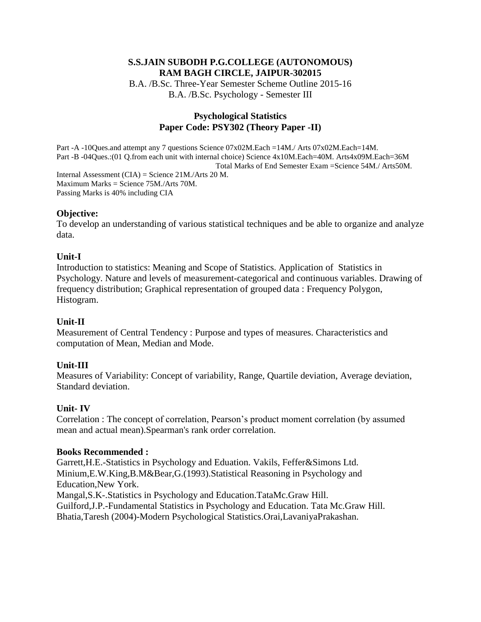B.A. /B.Sc. Three-Year Semester Scheme Outline 2015-16 B.A. /B.Sc. Psychology - Semester III

## **Psychological Statistics Paper Code: PSY302 (Theory Paper -II)**

Part -A -10Ques.and attempt any 7 questions Science 07x02M.Each =14M./ Arts 07x02M.Each=14M. Part -B -04Ques.:(01 Q.from each unit with internal choice) Science 4x10M.Each=40M. Arts4x09M.Each=36M Total Marks of End Semester Exam =Science 54M./ Arts50M. Internal Assessment (CIA) = Science 21M./Arts 20 M.

Maximum Marks = Science 75M./Arts 70M. Passing Marks is 40% including CIA

## **Objective:**

To develop an understanding of various statistical techniques and be able to organize and analyze data.

#### **Unit-I**

Introduction to statistics: Meaning and Scope of Statistics. Application of Statistics in Psychology. Nature and levels of measurement-categorical and continuous variables. Drawing of frequency distribution; Graphical representation of grouped data : Frequency Polygon, Histogram.

## **Unit-II**

Measurement of Central Tendency : Purpose and types of measures. Characteristics and computation of Mean, Median and Mode.

## **Unit-III**

Measures of Variability: Concept of variability, Range, Quartile deviation, Average deviation, Standard deviation.

## **Unit- IV**

Correlation : The concept of correlation, Pearson's product moment correlation (by assumed mean and actual mean).Spearman's rank order correlation.

#### **Books Recommended :**

Garrett,H.E.-Statistics in Psychology and Eduation. Vakils, Feffer&Simons Ltd. Minium,E.W.King,B.M&Bear,G.(1993).Statistical Reasoning in Psychology and Education,New York. Mangal,S.K-.Statistics in Psychology and Education.TataMc.Graw Hill. Guilford,J.P.-Fundamental Statistics in Psychology and Education. Tata Mc.Graw Hill.

Bhatia,Taresh (2004)-Modern Psychological Statistics.Orai,LavaniyaPrakashan.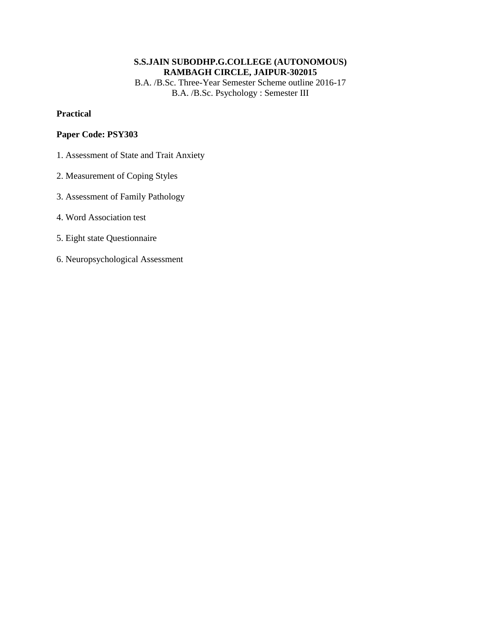B.A. /B.Sc. Three-Year Semester Scheme outline 2016-17 B.A. /B.Sc. Psychology : Semester III

#### **Practical**

- 1. Assessment of State and Trait Anxiety
- 2. Measurement of Coping Styles
- 3. Assessment of Family Pathology
- 4. Word Association test
- 5. Eight state Questionnaire
- 6. Neuropsychological Assessment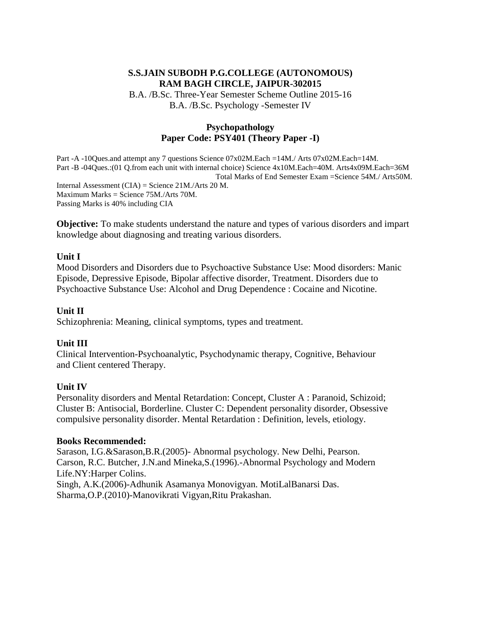B.A. /B.Sc. Three-Year Semester Scheme Outline 2015-16 B.A. /B.Sc. Psychology -Semester IV

## **Psychopathology Paper Code: PSY401 (Theory Paper -I)**

Part -A -10Ques.and attempt any 7 questions Science 07x02M.Each =14M./ Arts 07x02M.Each=14M. Part -B -04Ques.:(01 Q.from each unit with internal choice) Science 4x10M.Each=40M. Arts4x09M.Each=36M Total Marks of End Semester Exam =Science 54M./ Arts50M. Internal Assessment (CIA) = Science 21M./Arts 20 M. Maximum Marks = Science 75M./Arts 70M. Passing Marks is 40% including CIA

**Objective:** To make students understand the nature and types of various disorders and impart knowledge about diagnosing and treating various disorders.

#### **Unit I**

Mood Disorders and Disorders due to Psychoactive Substance Use: Mood disorders: Manic Episode, Depressive Episode, Bipolar affective disorder, Treatment. Disorders due to Psychoactive Substance Use: Alcohol and Drug Dependence : Cocaine and Nicotine.

#### **Unit II**

Schizophrenia: Meaning, clinical symptoms, types and treatment.

## **Unit III**

Clinical Intervention-Psychoanalytic, Psychodynamic therapy, Cognitive, Behaviour and Client centered Therapy.

## **Unit IV**

Personality disorders and Mental Retardation: Concept, Cluster A : Paranoid, Schizoid; Cluster B: Antisocial, Borderline. Cluster C: Dependent personality disorder, Obsessive compulsive personality disorder. Mental Retardation : Definition, levels, etiology.

#### **Books Recommended:**

Sarason, I.G.&Sarason,B.R.(2005)- Abnormal psychology. New Delhi, Pearson. Carson, R.C. Butcher, J.N.and Mineka,S.(1996).-Abnormal Psychology and Modern Life.NY:Harper Colins. Singh, A.K.(2006)-Adhunik Asamanya Monovigyan. MotiLalBanarsi Das. Sharma,O.P.(2010)-Manovikrati Vigyan,Ritu Prakashan.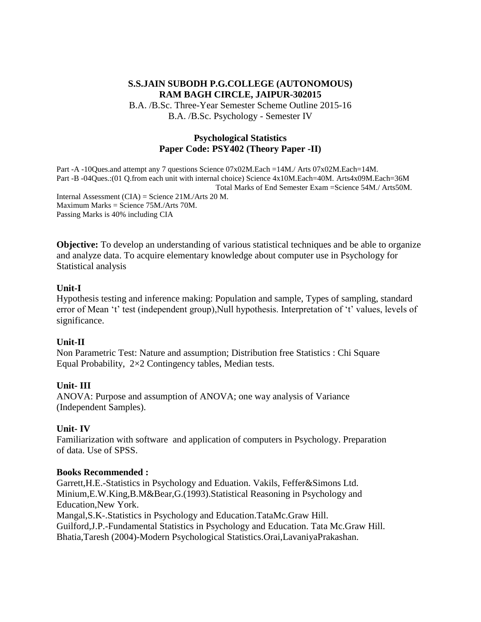B.A. /B.Sc. Three-Year Semester Scheme Outline 2015-16 B.A. /B.Sc. Psychology - Semester IV

#### **Psychological Statistics Paper Code: PSY402 (Theory Paper -II)**

Part -A -10Ques.and attempt any 7 questions Science 07x02M.Each =14M./ Arts 07x02M.Each=14M. Part -B -04Ques.:(01 Q.from each unit with internal choice) Science 4x10M.Each=40M. Arts4x09M.Each=36M Total Marks of End Semester Exam =Science 54M./ Arts50M. Internal Assessment (CIA) = Science 21M./Arts 20 M. Maximum Marks = Science 75M./Arts 70M. Passing Marks is 40% including CIA

**Objective:** To develop an understanding of various statistical techniques and be able to organize and analyze data. To acquire elementary knowledge about computer use in Psychology for Statistical analysis

#### **Unit-I**

Hypothesis testing and inference making: Population and sample, Types of sampling, standard error of Mean 't' test (independent group),Null hypothesis. Interpretation of 't' values, levels of significance.

#### **Unit-II**

Non Parametric Test: Nature and assumption; Distribution free Statistics : Chi Square Equal Probability, 2×2 Contingency tables, Median tests.

#### **Unit- III**

ANOVA: Purpose and assumption of ANOVA; one way analysis of Variance (Independent Samples).

#### **Unit- IV**

Familiarization with software and application of computers in Psychology. Preparation of data. Use of SPSS.

#### **Books Recommended :**

Garrett,H.E.-Statistics in Psychology and Eduation. Vakils, Feffer&Simons Ltd. Minium,E.W.King,B.M&Bear,G.(1993).Statistical Reasoning in Psychology and Education,New York.

Mangal,S.K-.Statistics in Psychology and Education.TataMc.Graw Hill. Guilford,J.P.-Fundamental Statistics in Psychology and Education. Tata Mc.Graw Hill. Bhatia,Taresh (2004)-Modern Psychological Statistics.Orai,LavaniyaPrakashan.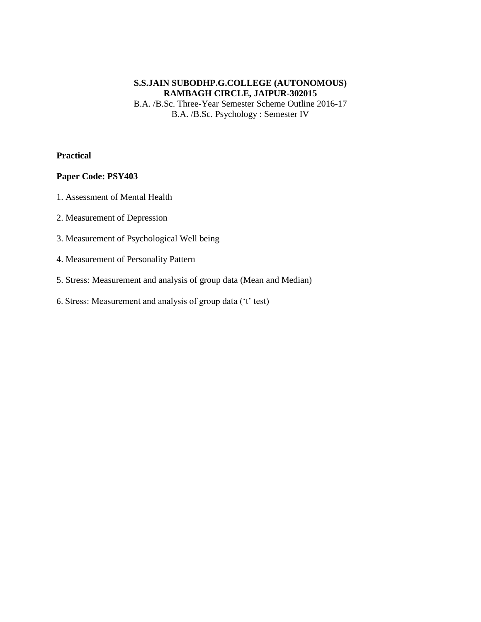B.A. /B.Sc. Three-Year Semester Scheme Outline 2016-17 B.A. /B.Sc. Psychology : Semester IV

#### **Practical**

- 1. Assessment of Mental Health
- 2. Measurement of Depression
- 3. Measurement of Psychological Well being
- 4. Measurement of Personality Pattern
- 5. Stress: Measurement and analysis of group data (Mean and Median)
- 6. Stress: Measurement and analysis of group data ('t' test)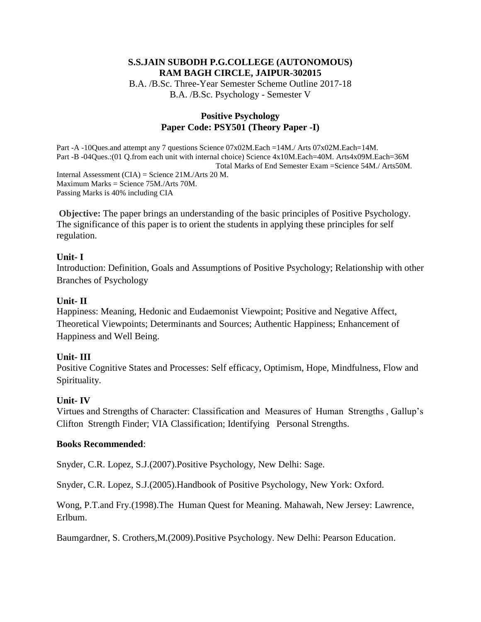B.A. /B.Sc. Three-Year Semester Scheme Outline 2017-18 B.A. /B.Sc. Psychology - Semester V

#### **Positive Psychology Paper Code: PSY501 (Theory Paper -I)**

Part -A -10Ques.and attempt any 7 questions Science 07x02M.Each =14M./ Arts 07x02M.Each=14M. Part -B -04Ques.:(01 Q.from each unit with internal choice) Science 4x10M.Each=40M. Arts4x09M.Each=36M Total Marks of End Semester Exam =Science 54M./ Arts50M. Internal Assessment (CIA) = Science 21M./Arts 20 M. Maximum Marks = Science 75M./Arts 70M. Passing Marks is 40% including CIA

**Objective:** The paper brings an understanding of the basic principles of Positive Psychology. The significance of this paper is to orient the students in applying these principles for self regulation.

#### **Unit- I**

Introduction: Definition, Goals and Assumptions of Positive Psychology; Relationship with other Branches of Psychology

#### **Unit- II**

Happiness: Meaning, Hedonic and Eudaemonist Viewpoint; Positive and Negative Affect, Theoretical Viewpoints; Determinants and Sources; Authentic Happiness; Enhancement of Happiness and Well Being.

## **Unit- III**

Positive Cognitive States and Processes: Self efficacy, Optimism, Hope, Mindfulness, Flow and Spirituality.

#### **Unit- IV**

Virtues and Strengths of Character: Classification and Measures of Human Strengths , Gallup's Clifton Strength Finder; VIA Classification; Identifying Personal Strengths.

#### **Books Recommended**:

Snyder, C.R. Lopez, S.J.(2007).Positive Psychology, New Delhi: Sage.

Snyder, C.R. Lopez, S.J.(2005).Handbook of Positive Psychology, New York: Oxford.

Wong, P.T.and Fry.(1998).The Human Quest for Meaning. Mahawah, New Jersey: Lawrence, Erlbum.

Baumgardner, S. Crothers,M.(2009).Positive Psychology. New Delhi: Pearson Education.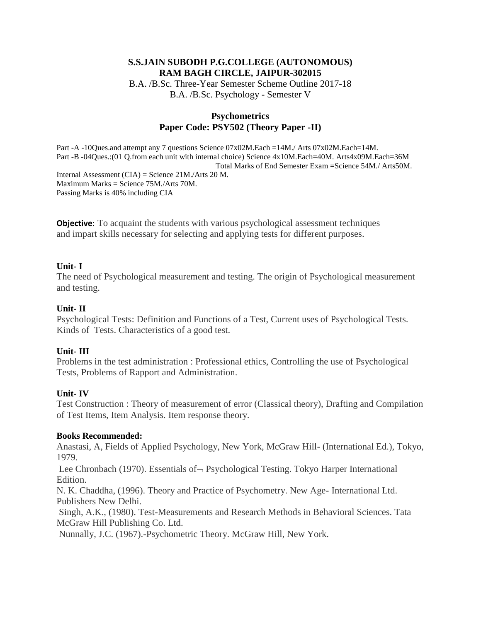B.A. /B.Sc. Three-Year Semester Scheme Outline 2017-18 B.A. /B.Sc. Psychology - Semester V

#### **Psychometrics Paper Code: PSY502 (Theory Paper -II)**

Part -A -10Ques.and attempt any 7 questions Science 07x02M.Each =14M./ Arts 07x02M.Each=14M. Part -B -04Ques.:(01 Q.from each unit with internal choice) Science 4x10M.Each=40M. Arts4x09M.Each=36M Total Marks of End Semester Exam =Science 54M./ Arts50M. Internal Assessment (CIA) = Science 21M./Arts 20 M. Maximum Marks = Science 75M./Arts 70M. Passing Marks is 40% including CIA

**Objective**: To acquaint the students with various psychological assessment techniques and impart skills necessary for selecting and applying tests for different purposes.

#### **Unit- I**

The need of Psychological measurement and testing. The origin of Psychological measurement and testing.

#### **Unit- II**

Psychological Tests: Definition and Functions of a Test, Current uses of Psychological Tests. Kinds of Tests. Characteristics of a good test.

#### **Unit- III**

Problems in the test administration : Professional ethics, Controlling the use of Psychological Tests, Problems of Rapport and Administration.

#### **Unit- IV**

Test Construction : Theory of measurement of error (Classical theory), Drafting and Compilation of Test Items, Item Analysis. Item response theory.

#### **Books Recommended:**

Anastasi, A, Fields of Applied Psychology, New York, McGraw Hill- (International Ed.), Tokyo, 1979.

Lee Chronbach (1970). Essentials of  $\neg$  Psychological Testing. Tokyo Harper International Edition.

N. K. Chaddha, (1996). Theory and Practice of Psychometry. New Age- International Ltd. Publishers New Delhi.

Singh, A.K., (1980). Test-Measurements and Research Methods in Behavioral Sciences. Tata McGraw Hill Publishing Co. Ltd.

Nunnally, J.C. (1967).-Psychometric Theory. McGraw Hill, New York.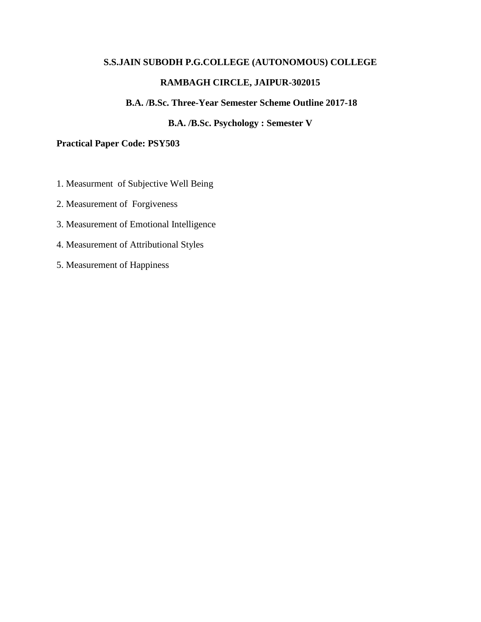#### **B.A. /B.Sc. Three-Year Semester Scheme Outline 2017-18**

## **B.A. /B.Sc. Psychology : Semester V**

#### **Practical Paper Code: PSY503**

- 1. Measurment of Subjective Well Being
- 2. Measurement of Forgiveness
- 3. Measurement of Emotional Intelligence
- 4. Measurement of Attributional Styles
- 5. Measurement of Happiness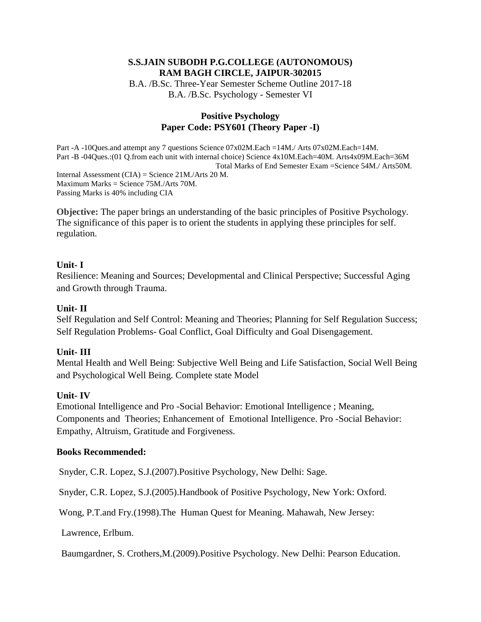B.A. /B.Sc. Three-Year Semester Scheme Outline 2017-18 B.A. /B.Sc. Psychology - Semester VI

#### **Positive Psychology Paper Code: PSY601 (Theory Paper -I)**

Part -A -10Ques.and attempt any 7 questions Science 07x02M.Each =14M./ Arts 07x02M.Each=14M. Part -B -04Ques.:(01 Q.from each unit with internal choice) Science 4x10M.Each=40M. Arts4x09M.Each=36M Total Marks of End Semester Exam =Science 54M./ Arts50M. Internal Assessment (CIA) = Science 21M./Arts 20 M. Maximum Marks = Science 75M./Arts 70M. Passing Marks is 40% including CIA

**Objective:** The paper brings an understanding of the basic principles of Positive Psychology. The significance of this paper is to orient the students in applying these principles for self. regulation.

#### **Unit- I**

Resilience: Meaning and Sources; Developmental and Clinical Perspective; Successful Aging and Growth through Trauma.

## **Unit- II**

Self Regulation and Self Control: Meaning and Theories; Planning for Self Regulation Success; Self Regulation Problems- Goal Conflict, Goal Difficulty and Goal Disengagement.

#### **Unit- III**

Mental Health and Well Being: Subjective Well Being and Life Satisfaction, Social Well Being and Psychological Well Being. Complete state Model

## **Unit- IV**

Emotional Intelligence and Pro -Social Behavior: Emotional Intelligence ; Meaning, Components and Theories; Enhancement of Emotional Intelligence. Pro -Social Behavior: Empathy, Altruism, Gratitude and Forgiveness.

#### **Books Recommended:**

Snyder, C.R. Lopez, S.J.(2007).Positive Psychology, New Delhi: Sage.

Snyder, C.R. Lopez, S.J.(2005).Handbook of Positive Psychology, New York: Oxford.

Wong, P.T.and Fry.(1998).The Human Quest for Meaning. Mahawah, New Jersey:

Lawrence, Erlbum.

Baumgardner, S. Crothers,M.(2009).Positive Psychology. New Delhi: Pearson Education.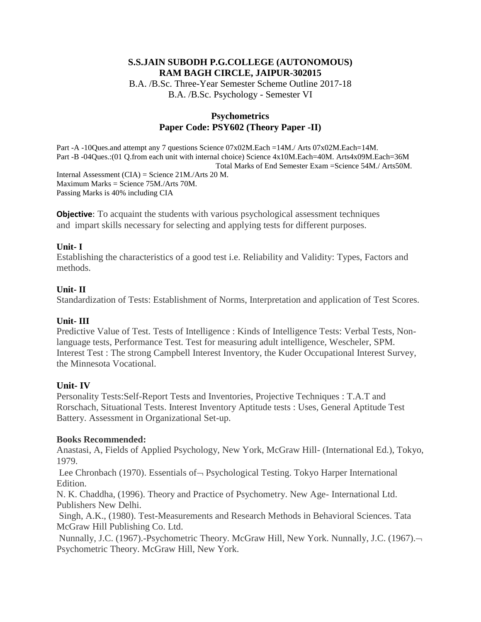B.A. /B.Sc. Three-Year Semester Scheme Outline 2017-18 B.A. /B.Sc. Psychology - Semester VI

#### **Psychometrics Paper Code: PSY602 (Theory Paper -II)**

Part -A -10Ques.and attempt any 7 questions Science 07x02M.Each =14M./ Arts 07x02M.Each=14M. Part -B -04Ques.:(01 Q.from each unit with internal choice) Science 4x10M.Each=40M. Arts4x09M.Each=36M Total Marks of End Semester Exam =Science 54M./ Arts50M.

Internal Assessment (CIA) = Science 21M./Arts 20 M. Maximum Marks = Science 75M./Arts 70M. Passing Marks is 40% including CIA

**Objective**: To acquaint the students with various psychological assessment techniques and impart skills necessary for selecting and applying tests for different purposes.

#### **Unit- I**

Establishing the characteristics of a good test i.e. Reliability and Validity: Types, Factors and methods.

#### **Unit- II**

Standardization of Tests: Establishment of Norms, Interpretation and application of Test Scores.

#### **Unit- III**

Predictive Value of Test. Tests of Intelligence : Kinds of Intelligence Tests: Verbal Tests, Nonlanguage tests, Performance Test. Test for measuring adult intelligence, Wescheler, SPM. Interest Test : The strong Campbell Interest Inventory, the Kuder Occupational Interest Survey, the Minnesota Vocational.

## **Unit- IV**

Personality Tests:Self-Report Tests and Inventories, Projective Techniques : T.A.T and Rorschach, Situational Tests. Interest Inventory Aptitude tests : Uses, General Aptitude Test Battery. Assessment in Organizational Set-up.

#### **Books Recommended:**

Anastasi, A, Fields of Applied Psychology, New York, McGraw Hill- (International Ed.), Tokyo, 1979.

Lee Chronbach (1970). Essentials of  $\neg$  Psychological Testing. Tokyo Harper International Edition.

N. K. Chaddha, (1996). Theory and Practice of Psychometry. New Age- International Ltd. Publishers New Delhi.

Singh, A.K., (1980). Test-Measurements and Research Methods in Behavioral Sciences. Tata McGraw Hill Publishing Co. Ltd.

Nunnally, J.C. (1967).-Psychometric Theory. McGraw Hill, New York. Nunnally, J.C. (1967). Psychometric Theory. McGraw Hill, New York.